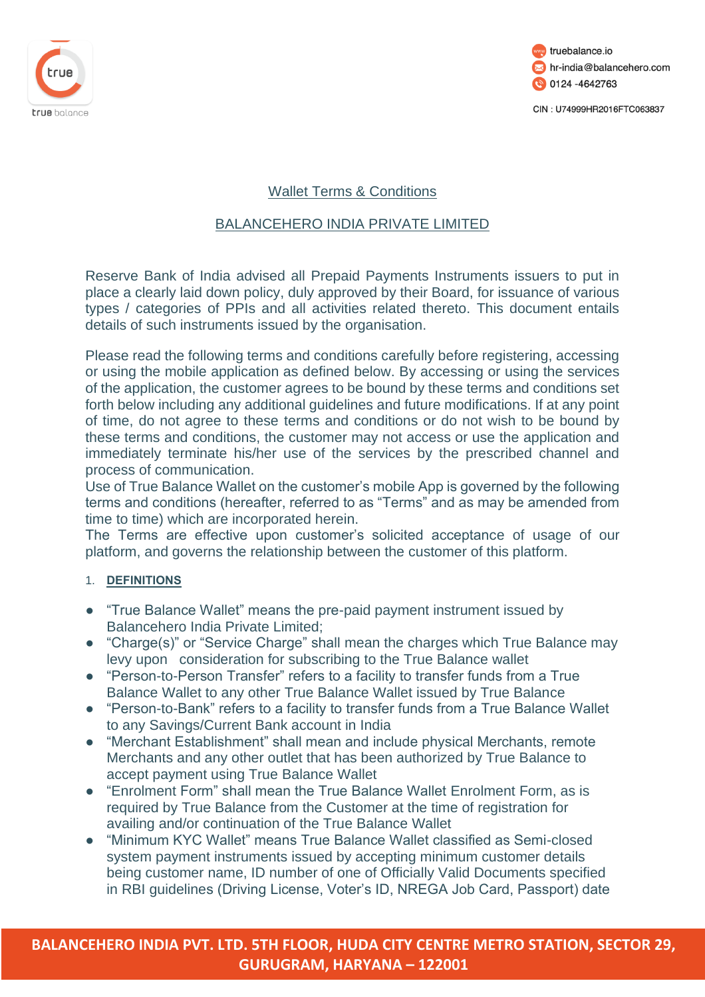



# Wallet Terms & Conditions

# BALANCEHERO INDIA PRIVATE LIMITED

Reserve Bank of India advised all Prepaid Payments Instruments issuers to put in place a clearly laid down policy, duly approved by their Board, for issuance of various types / categories of PPIs and all activities related thereto. This document entails details of such instruments issued by the organisation.

Please read the following terms and conditions carefully before registering, accessing or using the mobile application as defined below. By accessing or using the services of the application, the customer agrees to be bound by these terms and conditions set forth below including any additional guidelines and future modifications. If at any point of time, do not agree to these terms and conditions or do not wish to be bound by these terms and conditions, the customer may not access or use the application and immediately terminate his/her use of the services by the prescribed channel and process of communication.

Use of True Balance Wallet on the customer's mobile App is governed by the following terms and conditions (hereafter, referred to as "Terms" and as may be amended from time to time) which are incorporated herein.

The Terms are effective upon customer's solicited acceptance of usage of our platform, and governs the relationship between the customer of this platform.

### 1. **DEFINITIONS**

- "True Balance Wallet" means the pre-paid payment instrument issued by Balancehero India Private Limited;
- "Charge(s)" or "Service Charge" shall mean the charges which True Balance may levy upon consideration for subscribing to the True Balance wallet
- "Person-to-Person Transfer" refers to a facility to transfer funds from a True Balance Wallet to any other True Balance Wallet issued by True Balance
- "Person-to-Bank" refers to a facility to transfer funds from a True Balance Wallet to any Savings/Current Bank account in India
- "Merchant Establishment" shall mean and include physical Merchants, remote Merchants and any other outlet that has been authorized by True Balance to accept payment using True Balance Wallet
- "Enrolment Form" shall mean the True Balance Wallet Enrolment Form, as is required by True Balance from the Customer at the time of registration for availing and/or continuation of the True Balance Wallet
- "Minimum KYC Wallet" means True Balance Wallet classified as Semi-closed system payment instruments issued by accepting minimum customer details being customer name, ID number of one of Officially Valid Documents specified in RBI guidelines (Driving License, Voter's ID, NREGA Job Card, Passport) date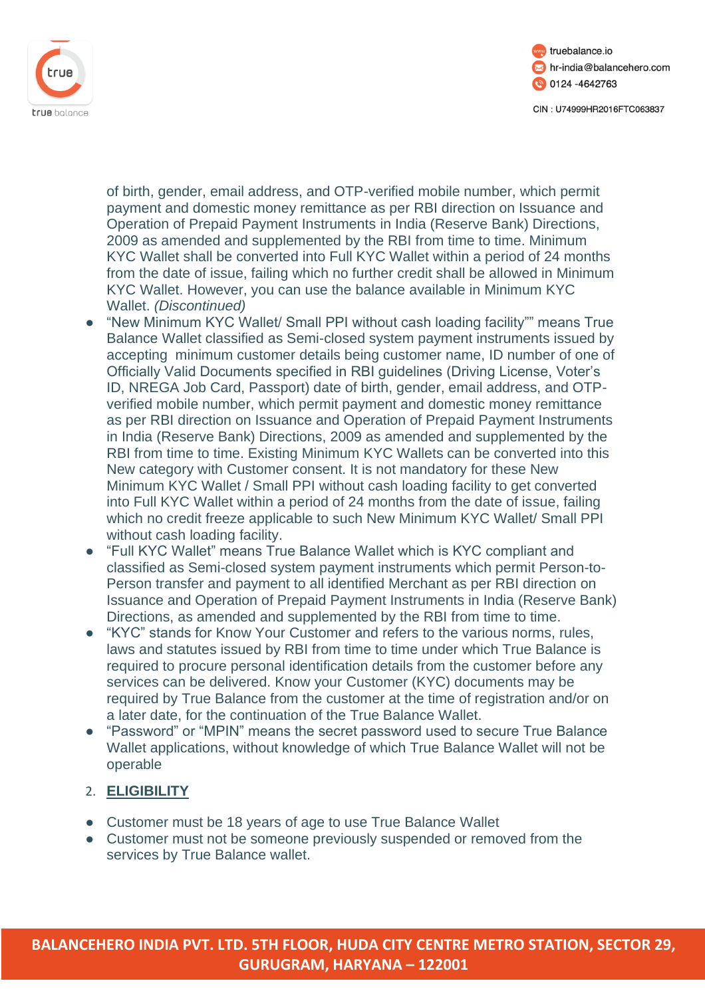



of birth, gender, email address, and OTP-verified mobile number, which permit payment and domestic money remittance as per RBI direction on Issuance and Operation of Prepaid Payment Instruments in India (Reserve Bank) Directions, 2009 as amended and supplemented by the RBI from time to time. Minimum KYC Wallet shall be converted into Full KYC Wallet within a period of 24 months from the date of issue, failing which no further credit shall be allowed in Minimum KYC Wallet. However, you can use the balance available in Minimum KYC Wallet. *(Discontinued)*

- "New Minimum KYC Wallet/ Small PPI without cash loading facility"" means True Balance Wallet classified as Semi-closed system payment instruments issued by accepting minimum customer details being customer name, ID number of one of Officially Valid Documents specified in RBI guidelines (Driving License, Voter's ID, NREGA Job Card, Passport) date of birth, gender, email address, and OTPverified mobile number, which permit payment and domestic money remittance as per RBI direction on Issuance and Operation of Prepaid Payment Instruments in India (Reserve Bank) Directions, 2009 as amended and supplemented by the RBI from time to time. Existing Minimum KYC Wallets can be converted into this New category with Customer consent. It is not mandatory for these New Minimum KYC Wallet / Small PPI without cash loading facility to get converted into Full KYC Wallet within a period of 24 months from the date of issue, failing which no credit freeze applicable to such New Minimum KYC Wallet/ Small PPI without cash loading facility.
- "Full KYC Wallet" means True Balance Wallet which is KYC compliant and classified as Semi-closed system payment instruments which permit Person-to-Person transfer and payment to all identified Merchant as per RBI direction on Issuance and Operation of Prepaid Payment Instruments in India (Reserve Bank) Directions, as amended and supplemented by the RBI from time to time.
- "KYC" stands for Know Your Customer and refers to the various norms, rules, laws and statutes issued by RBI from time to time under which True Balance is required to procure personal identification details from the customer before any services can be delivered. Know your Customer (KYC) documents may be required by True Balance from the customer at the time of registration and/or on a later date, for the continuation of the True Balance Wallet.
- "Password" or "MPIN" means the secret password used to secure True Balance Wallet applications, without knowledge of which True Balance Wallet will not be operable

# 2. **ELIGIBILITY**

- Customer must be 18 years of age to use True Balance Wallet
- Customer must not be someone previously suspended or removed from the services by True Balance wallet.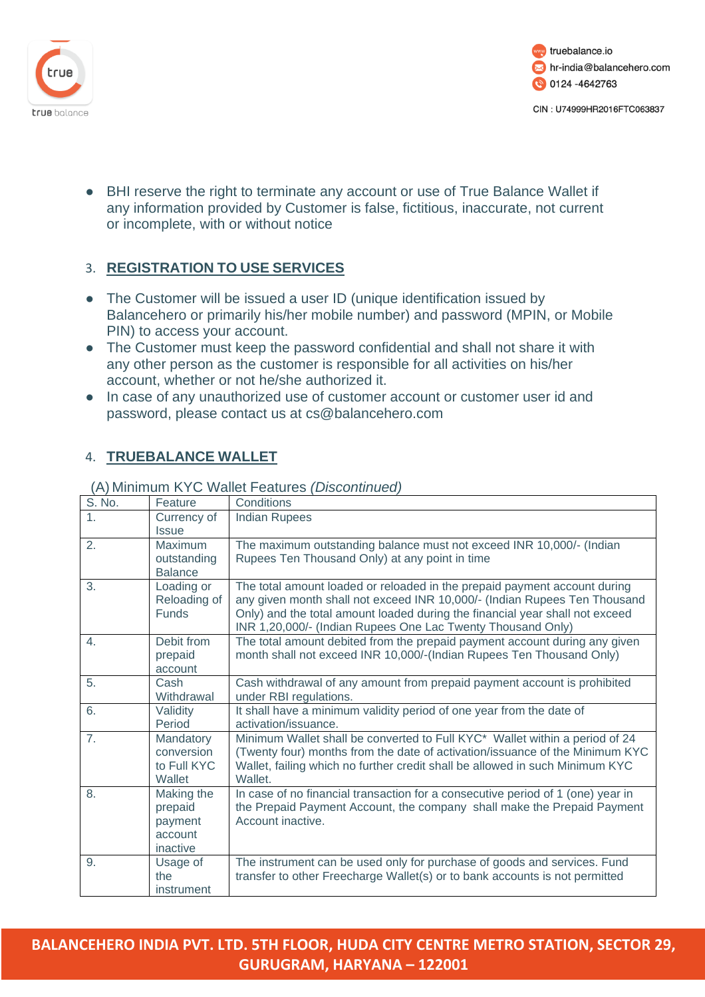



● BHI reserve the right to terminate any account or use of True Balance Wallet if any information provided by Customer is false, fictitious, inaccurate, not current or incomplete, with or without notice

# 3. **REGISTRATION TO USE SERVICES**

- The Customer will be issued a user ID (unique identification issued by Balancehero or primarily his/her mobile number) and password (MPIN, or Mobile PIN) to access your account.
- The Customer must keep the password confidential and shall not share it with any other person as the customer is responsible for all activities on his/her account, whether or not he/she authorized it.
- In case of any unauthorized use of customer account or customer user id and password, please contact us at cs@balancehero.com

# 4. **TRUEBALANCE WALLET**

| S. No.           | Feature                    | Conditions                                                                      |
|------------------|----------------------------|---------------------------------------------------------------------------------|
| 1.               | Currency of                | <b>Indian Rupees</b>                                                            |
|                  | <i><u><b>Issue</b></u></i> |                                                                                 |
| 2.               | <b>Maximum</b>             | The maximum outstanding balance must not exceed INR 10,000/- (Indian            |
|                  | outstanding                | Rupees Ten Thousand Only) at any point in time                                  |
|                  | <b>Balance</b>             |                                                                                 |
| 3.               | Loading or                 | The total amount loaded or reloaded in the prepaid payment account during       |
|                  | Reloading of               | any given month shall not exceed INR 10,000/- (Indian Rupees Ten Thousand       |
|                  | <b>Funds</b>               | Only) and the total amount loaded during the financial year shall not exceed    |
|                  |                            | INR 1,20,000/- (Indian Rupees One Lac Twenty Thousand Only)                     |
| 4.               | Debit from                 | The total amount debited from the prepaid payment account during any given      |
|                  | prepaid                    | month shall not exceed INR 10,000/-(Indian Rupees Ten Thousand Only)            |
|                  | account                    |                                                                                 |
| 5.               | Cash                       | Cash withdrawal of any amount from prepaid payment account is prohibited        |
|                  | Withdrawal                 | under RBI regulations.                                                          |
| 6.               | Validity                   | It shall have a minimum validity period of one year from the date of            |
|                  | Period                     | activation/issuance.                                                            |
| $\overline{7}$ . | Mandatory                  | Minimum Wallet shall be converted to Full KYC* Wallet within a period of 24     |
|                  | conversion                 | (Twenty four) months from the date of activation/issuance of the Minimum KYC    |
|                  | to Full KYC                | Wallet, failing which no further credit shall be allowed in such Minimum KYC    |
|                  | Wallet                     | Wallet.                                                                         |
| 8.               | Making the                 | In case of no financial transaction for a consecutive period of 1 (one) year in |
|                  | prepaid                    | the Prepaid Payment Account, the company shall make the Prepaid Payment         |
|                  | payment                    | Account inactive.                                                               |
|                  | account                    |                                                                                 |
|                  | inactive                   |                                                                                 |
| 9.               | Usage of                   | The instrument can be used only for purchase of goods and services. Fund        |
|                  | the                        | transfer to other Freecharge Wallet(s) or to bank accounts is not permitted     |
|                  | instrument                 |                                                                                 |

### (A) Minimum KYC Wallet Features *(Discontinued)*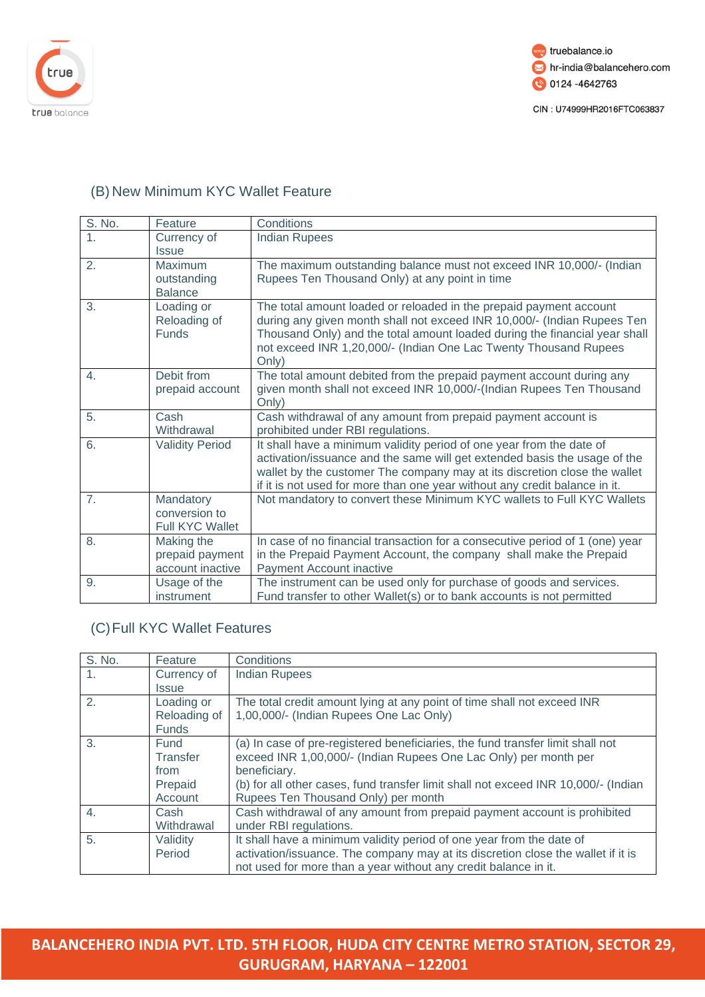



# (B) New Minimum KYC Wallet Feature

| $\overline{S}$ . No. | Feature                                           | Conditions                                                                                                                                                                                                                                                                                                   |
|----------------------|---------------------------------------------------|--------------------------------------------------------------------------------------------------------------------------------------------------------------------------------------------------------------------------------------------------------------------------------------------------------------|
| 1.                   | Currency of<br><b>Issue</b>                       | <b>Indian Rupees</b>                                                                                                                                                                                                                                                                                         |
| 2.                   | Maximum<br>outstanding<br><b>Balance</b>          | The maximum outstanding balance must not exceed INR 10,000/- (Indian<br>Rupees Ten Thousand Only) at any point in time                                                                                                                                                                                       |
| 3.                   | Loading or<br>Reloading of<br><b>Funds</b>        | The total amount loaded or reloaded in the prepaid payment account<br>during any given month shall not exceed INR 10,000/- (Indian Rupees Ten<br>Thousand Only) and the total amount loaded during the financial year shall<br>not exceed INR 1,20,000/- (Indian One Lac Twenty Thousand Rupees<br>Only)     |
| 4.                   | Debit from<br>prepaid account                     | The total amount debited from the prepaid payment account during any<br>given month shall not exceed INR 10,000/-(Indian Rupees Ten Thousand<br>Only)                                                                                                                                                        |
| 5.                   | Cash<br>Withdrawal                                | Cash withdrawal of any amount from prepaid payment account is<br>prohibited under RBI regulations.                                                                                                                                                                                                           |
| 6.                   | <b>Validity Period</b>                            | It shall have a minimum validity period of one year from the date of<br>activation/issuance and the same will get extended basis the usage of the<br>wallet by the customer The company may at its discretion close the wallet<br>if it is not used for more than one year without any credit balance in it. |
| 7.                   | Mandatory<br>conversion to<br>Full KYC Wallet     | Not mandatory to convert these Minimum KYC wallets to Full KYC Wallets                                                                                                                                                                                                                                       |
| 8.                   | Making the<br>prepaid payment<br>account inactive | In case of no financial transaction for a consecutive period of 1 (one) year<br>in the Prepaid Payment Account, the company shall make the Prepaid<br>Payment Account inactive                                                                                                                               |
| 9.                   | Usage of the<br>instrument                        | The instrument can be used only for purchase of goods and services.<br>Fund transfer to other Wallet(s) or to bank accounts is not permitted                                                                                                                                                                 |

# (C)Full KYC Wallet Features

| $\overline{S}$ . No. | Feature      | Conditions                                                                         |
|----------------------|--------------|------------------------------------------------------------------------------------|
| $\mathbf{1}$ .       | Currency of  | <b>Indian Rupees</b>                                                               |
|                      | <b>Issue</b> |                                                                                    |
| 2.                   | Loading or   | The total credit amount lying at any point of time shall not exceed INR            |
|                      | Reloading of | 1,00,000/- (Indian Rupees One Lac Only)                                            |
|                      | <b>Funds</b> |                                                                                    |
| 3.                   | Fund         | (a) In case of pre-registered beneficiaries, the fund transfer limit shall not     |
|                      | Transfer     | exceed INR 1,00,000/- (Indian Rupees One Lac Only) per month per                   |
|                      | from         | beneficiary.                                                                       |
|                      | Prepaid      | (b) for all other cases, fund transfer limit shall not exceed INR 10,000/- (Indian |
|                      | Account      | Rupees Ten Thousand Only) per month                                                |
| $\overline{4}$ .     | Cash         | Cash withdrawal of any amount from prepaid payment account is prohibited           |
|                      | Withdrawal   | under RBI regulations.                                                             |
| 5.                   | Validity     | It shall have a minimum validity period of one year from the date of               |
|                      | Period       | activation/issuance. The company may at its discretion close the wallet if it is   |
|                      |              | not used for more than a year without any credit balance in it.                    |

**BALANCEHERO INDIA PVT. LTD. 5TH FLOOR, HUDA CITY CENTRE METRO STATION, SECTOR 29, GURUGRAM, HARYANA – 122001**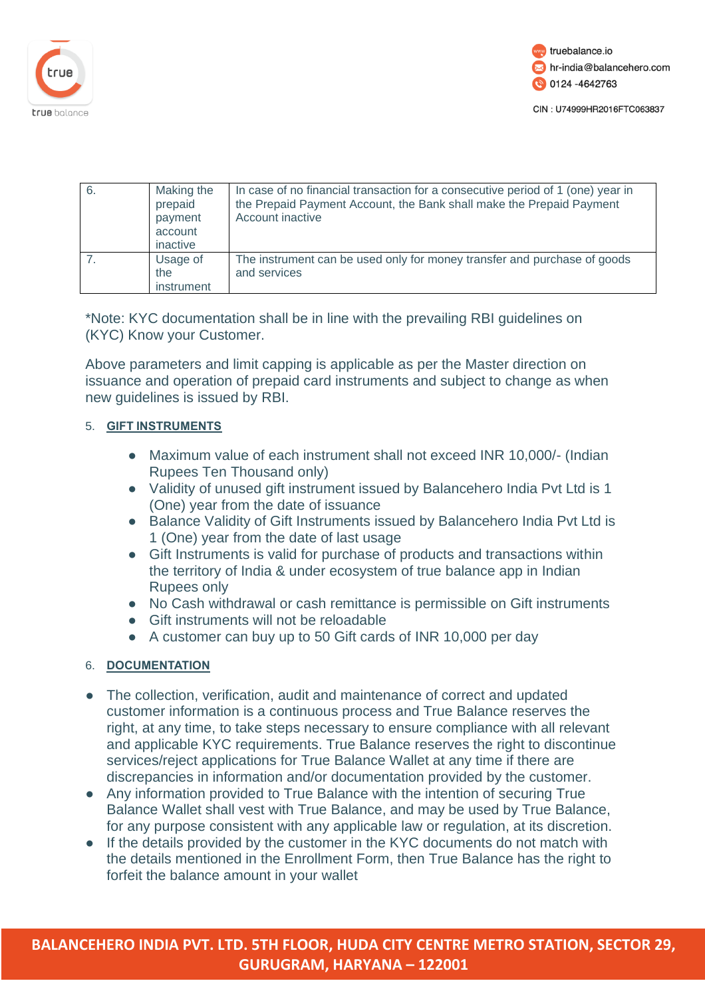



| 6. | Making the<br>prepaid<br>payment<br>account<br>inactive | In case of no financial transaction for a consecutive period of 1 (one) year in<br>the Prepaid Payment Account, the Bank shall make the Prepaid Payment<br>Account inactive |
|----|---------------------------------------------------------|-----------------------------------------------------------------------------------------------------------------------------------------------------------------------------|
|    | Usage of<br>the<br>instrument                           | The instrument can be used only for money transfer and purchase of goods<br>and services                                                                                    |

\*Note: KYC documentation shall be in line with the prevailing RBI guidelines on (KYC) Know your Customer.

Above parameters and limit capping is applicable as per the Master direction on issuance and operation of prepaid card instruments and subject to change as when new guidelines is issued by RBI.

### 5. **GIFT INSTRUMENTS**

- Maximum value of each instrument shall not exceed INR 10,000/- (Indian Rupees Ten Thousand only)
- Validity of unused gift instrument issued by Balancehero India Pvt Ltd is 1 (One) year from the date of issuance
- Balance Validity of Gift Instruments issued by Balancehero India Pvt Ltd is 1 (One) year from the date of last usage
- Gift Instruments is valid for purchase of products and transactions within the territory of India & under ecosystem of true balance app in Indian Rupees only
- No Cash withdrawal or cash remittance is permissible on Gift instruments
- Gift instruments will not be reloadable
- A customer can buy up to 50 Gift cards of INR 10,000 per day

### 6. **DOCUMENTATION**

- The collection, verification, audit and maintenance of correct and updated customer information is a continuous process and True Balance reserves the right, at any time, to take steps necessary to ensure compliance with all relevant and applicable KYC requirements. True Balance reserves the right to discontinue services/reject applications for True Balance Wallet at any time if there are discrepancies in information and/or documentation provided by the customer.
- Any information provided to True Balance with the intention of securing True Balance Wallet shall vest with True Balance, and may be used by True Balance, for any purpose consistent with any applicable law or regulation, at its discretion.
- If the details provided by the customer in the KYC documents do not match with the details mentioned in the Enrollment Form, then True Balance has the right to forfeit the balance amount in your wallet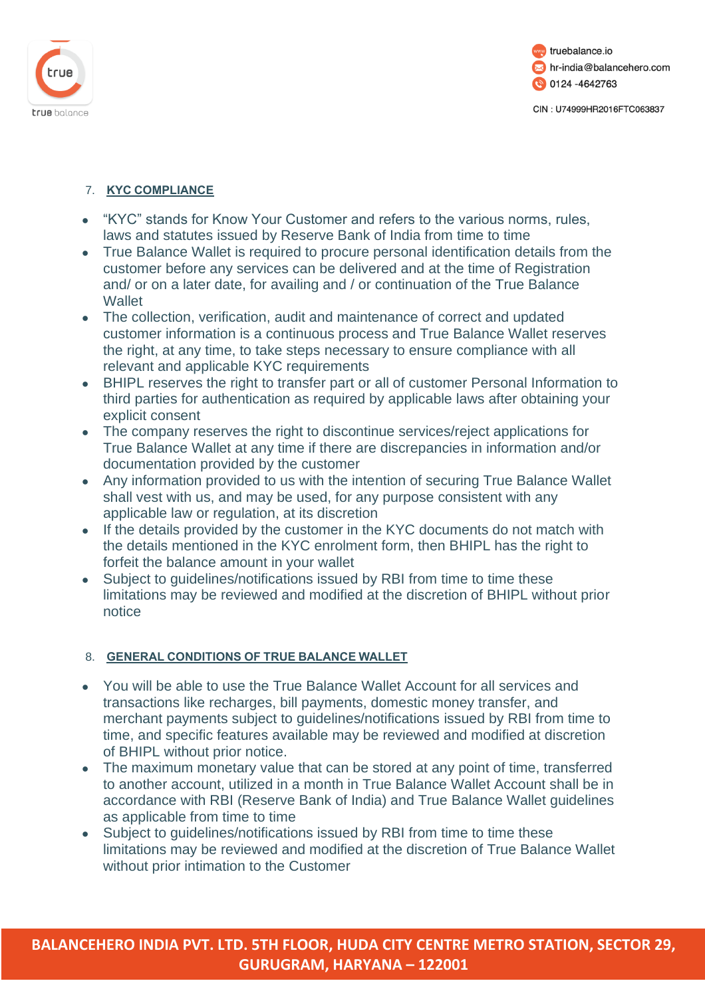



### 7. **KYC COMPLIANCE**

- "KYC" stands for Know Your Customer and refers to the various norms, rules, laws and statutes issued by Reserve Bank of India from time to time
- True Balance Wallet is required to procure personal identification details from the customer before any services can be delivered and at the time of Registration and/ or on a later date, for availing and / or continuation of the True Balance **Wallet**
- The collection, verification, audit and maintenance of correct and updated customer information is a continuous process and True Balance Wallet reserves the right, at any time, to take steps necessary to ensure compliance with all relevant and applicable KYC requirements
- BHIPL reserves the right to transfer part or all of customer Personal Information to third parties for authentication as required by applicable laws after obtaining your explicit consent
- The company reserves the right to discontinue services/reject applications for True Balance Wallet at any time if there are discrepancies in information and/or documentation provided by the customer
- Any information provided to us with the intention of securing True Balance Wallet shall vest with us, and may be used, for any purpose consistent with any applicable law or regulation, at its discretion
- If the details provided by the customer in the KYC documents do not match with the details mentioned in the KYC enrolment form, then BHIPL has the right to forfeit the balance amount in your wallet
- Subject to quidelines/notifications issued by RBI from time to time these limitations may be reviewed and modified at the discretion of BHIPL without prior notice

### 8. **GENERAL CONDITIONS OF TRUE BALANCE WALLET**

- You will be able to use the True Balance Wallet Account for all services and transactions like recharges, bill payments, domestic money transfer, and merchant payments subject to guidelines/notifications issued by RBI from time to time, and specific features available may be reviewed and modified at discretion of BHIPL without prior notice.
- The maximum monetary value that can be stored at any point of time, transferred to another account, utilized in a month in True Balance Wallet Account shall be in accordance with RBI (Reserve Bank of India) and True Balance Wallet guidelines as applicable from time to time
- Subject to quidelines/notifications issued by RBI from time to time these limitations may be reviewed and modified at the discretion of True Balance Wallet without prior intimation to the Customer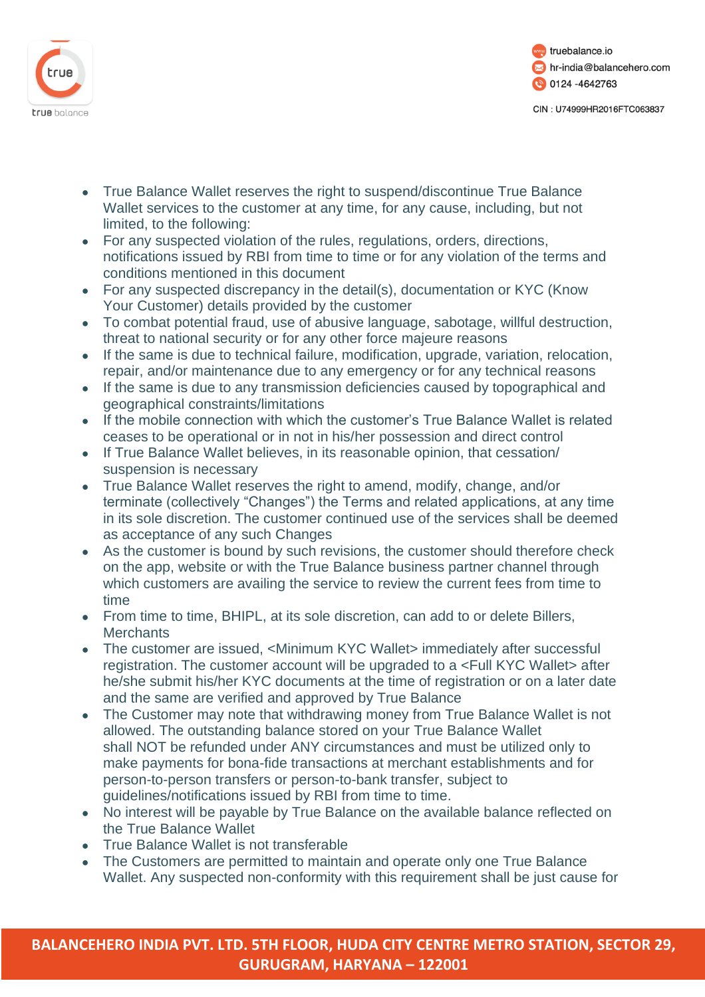



- True Balance Wallet reserves the right to suspend/discontinue True Balance Wallet services to the customer at any time, for any cause, including, but not limited, to the following:
- For any suspected violation of the rules, regulations, orders, directions, notifications issued by RBI from time to time or for any violation of the terms and conditions mentioned in this document
- For any suspected discrepancy in the detail(s), documentation or KYC (Know Your Customer) details provided by the customer
- To combat potential fraud, use of abusive language, sabotage, willful destruction, threat to national security or for any other force majeure reasons
- If the same is due to technical failure, modification, upgrade, variation, relocation, repair, and/or maintenance due to any emergency or for any technical reasons
- If the same is due to any transmission deficiencies caused by topographical and geographical constraints/limitations
- If the mobile connection with which the customer's True Balance Wallet is related ceases to be operational or in not in his/her possession and direct control
- If True Balance Wallet believes, in its reasonable opinion, that cessation/ suspension is necessary
- True Balance Wallet reserves the right to amend, modify, change, and/or terminate (collectively "Changes") the Terms and related applications, at any time in its sole discretion. The customer continued use of the services shall be deemed as acceptance of any such Changes
- As the customer is bound by such revisions, the customer should therefore check on the app, website or with the True Balance business partner channel through which customers are availing the service to review the current fees from time to time
- From time to time, BHIPL, at its sole discretion, can add to or delete Billers, **Merchants**
- The customer are issued, <Minimum KYC Wallet> immediately after successful registration. The customer account will be upgraded to a <Full KYC Wallet> after he/she submit his/her KYC documents at the time of registration or on a later date and the same are verified and approved by True Balance
- The Customer may note that withdrawing money from True Balance Wallet is not allowed. The outstanding balance stored on your True Balance Wallet shall NOT be refunded under ANY circumstances and must be utilized only to make payments for bona-fide transactions at merchant establishments and for person-to-person transfers or person-to-bank transfer, subject to guidelines/notifications issued by RBI from time to time.
- No interest will be payable by True Balance on the available balance reflected on the True Balance Wallet
- True Balance Wallet is not transferable
- The Customers are permitted to maintain and operate only one True Balance Wallet. Any suspected non-conformity with this requirement shall be just cause for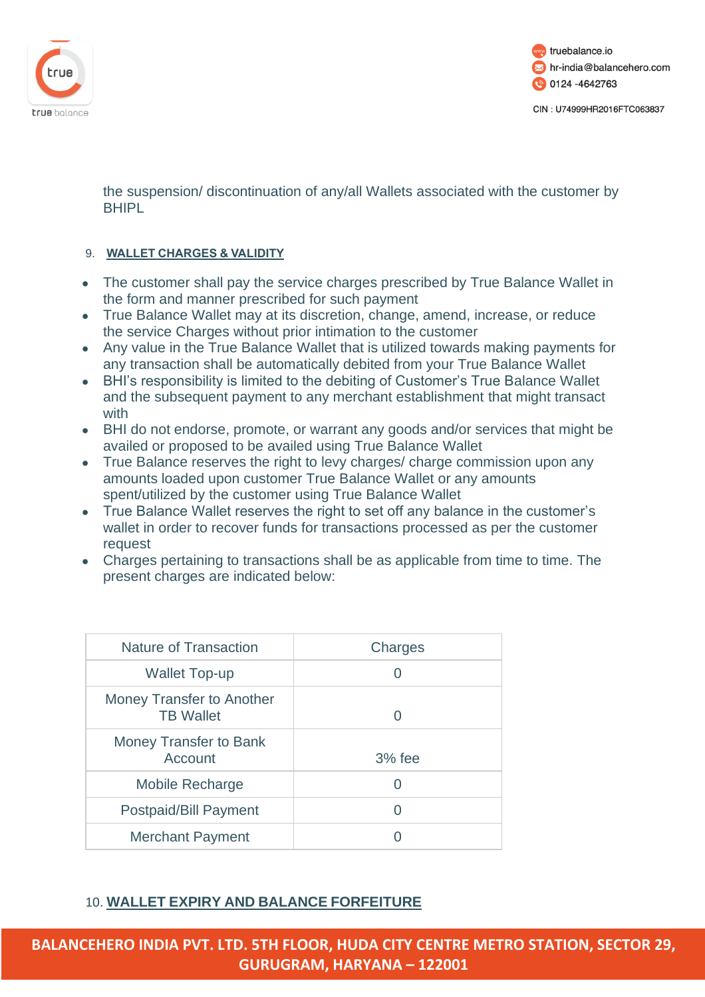

 $\overline{\phantom{a}}$ 



CIN: U74999HR2016FTC063837

the suspension/ discontinuation of any/all Wallets associated with the customer by **BHIPL** 

### 9. **WALLET CHARGES & VALIDITY**

- The customer shall pay the service charges prescribed by True Balance Wallet in the form and manner prescribed for such payment
- True Balance Wallet may at its discretion, change, amend, increase, or reduce the service Charges without prior intimation to the customer
- Any value in the True Balance Wallet that is utilized towards making payments for any transaction shall be automatically debited from your True Balance Wallet
- BHI's responsibility is limited to the debiting of Customer's True Balance Wallet and the subsequent payment to any merchant establishment that might transact with
- BHI do not endorse, promote, or warrant any goods and/or services that might be availed or proposed to be availed using True Balance Wallet
- True Balance reserves the right to levy charges/ charge commission upon any amounts loaded upon customer True Balance Wallet or any amounts spent/utilized by the customer using True Balance Wallet
- True Balance Wallet reserves the right to set off any balance in the customer's wallet in order to recover funds for transactions processed as per the customer request
- Charges pertaining to transactions shall be as applicable from time to time. The present charges are indicated below:

T.

| Nature of Transaction                         | Charges  |
|-----------------------------------------------|----------|
| Wallet Top-up                                 |          |
| Money Transfer to Another<br><b>TB Wallet</b> | 0        |
| Money Transfer to Bank<br>Account             | $3%$ fee |
| <b>Mobile Recharge</b>                        |          |
| <b>Postpaid/Bill Payment</b>                  |          |
| <b>Merchant Payment</b>                       |          |

# 10. **WALLET EXPIRY AND BALANCE FORFEITURE**

**BALANCEHERO INDIA PVT. LTD. 5TH FLOOR, HUDA CITY CENTRE METRO STATION, SECTOR 29, GURUGRAM, HARYANA – 122001**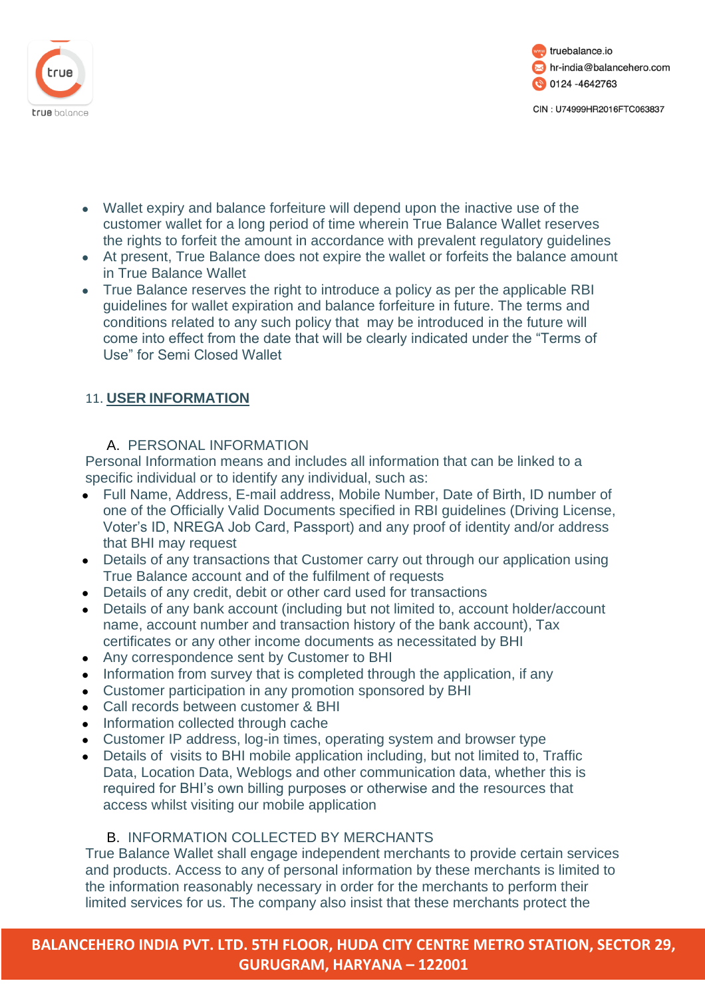



- Wallet expiry and balance forfeiture will depend upon the inactive use of the customer wallet for a long period of time wherein True Balance Wallet reserves the rights to forfeit the amount in accordance with prevalent regulatory guidelines
- At present, True Balance does not expire the wallet or forfeits the balance amount in True Balance Wallet
- True Balance reserves the right to introduce a policy as per the applicable RBI guidelines for wallet expiration and balance forfeiture in future. The terms and conditions related to any such policy that may be introduced in the future will come into effect from the date that will be clearly indicated under the "Terms of Use" for Semi Closed Wallet

# 11. **USER INFORMATION**

# A. PERSONAL INFORMATION

Personal Information means and includes all information that can be linked to a specific individual or to identify any individual, such as:

- Full Name, Address, E-mail address, Mobile Number, Date of Birth, ID number of one of the Officially Valid Documents specified in RBI guidelines (Driving License, Voter's ID, NREGA Job Card, Passport) and any proof of identity and/or address that BHI may request
- Details of any transactions that Customer carry out through our application using True Balance account and of the fulfilment of requests
- Details of any credit, debit or other card used for transactions
- Details of any bank account (including but not limited to, account holder/account name, account number and transaction history of the bank account), Tax certificates or any other income documents as necessitated by BHI
- Any correspondence sent by Customer to BHI
- Information from survey that is completed through the application, if any
- Customer participation in any promotion sponsored by BHI
- Call records between customer & BHI
- Information collected through cache
- Customer IP address, log-in times, operating system and browser type
- Details of visits to BHI mobile application including, but not limited to, Traffic Data, Location Data, Weblogs and other communication data, whether this is required for BHI's own billing purposes or otherwise and the resources that access whilst visiting our mobile application

# B. INFORMATION COLLECTED BY MERCHANTS

True Balance Wallet shall engage independent merchants to provide certain services and products. Access to any of personal information by these merchants is limited to the information reasonably necessary in order for the merchants to perform their limited services for us. The company also insist that these merchants protect the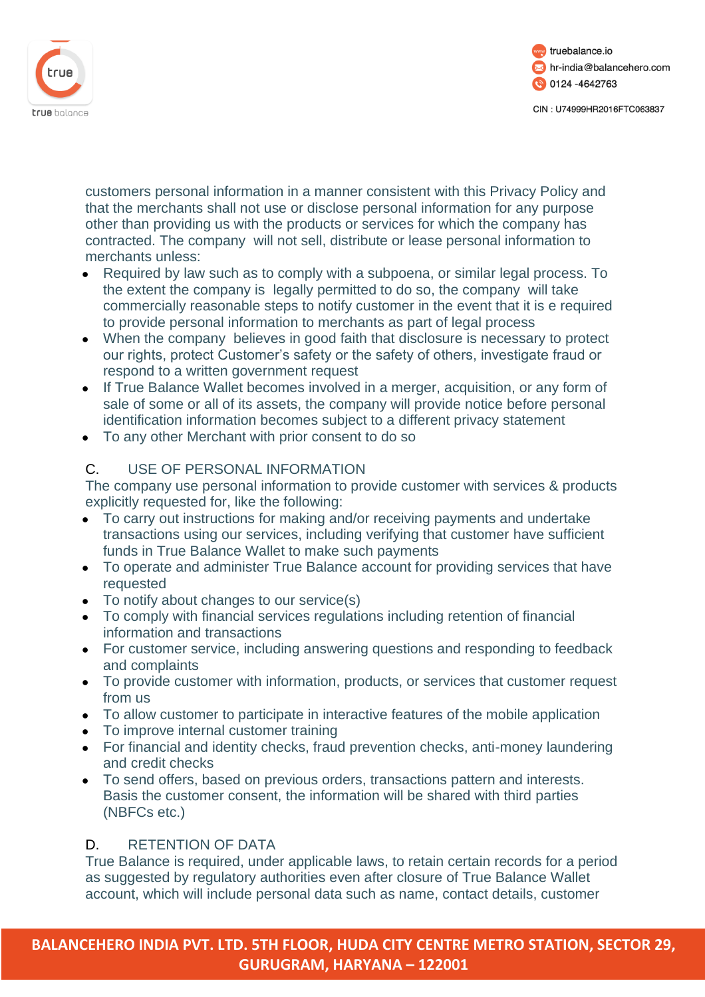



customers personal information in a manner consistent with this Privacy Policy and that the merchants shall not use or disclose personal information for any purpose other than providing us with the products or services for which the company has contracted. The company will not sell, distribute or lease personal information to merchants unless:

- Required by law such as to comply with a subpoena, or similar legal process. To the extent the company is legally permitted to do so, the company will take commercially reasonable steps to notify customer in the event that it is e required to provide personal information to merchants as part of legal process
- When the company believes in good faith that disclosure is necessary to protect our rights, protect Customer's safety or the safety of others, investigate fraud or respond to a written government request
- If True Balance Wallet becomes involved in a merger, acquisition, or any form of sale of some or all of its assets, the company will provide notice before personal identification information becomes subject to a different privacy statement
- To any other Merchant with prior consent to do so

# C. USE OF PERSONAL INFORMATION

The company use personal information to provide customer with services & products explicitly requested for, like the following:

- To carry out instructions for making and/or receiving payments and undertake transactions using our services, including verifying that customer have sufficient funds in True Balance Wallet to make such payments
- To operate and administer True Balance account for providing services that have requested
- To notify about changes to our service(s)
- To comply with financial services regulations including retention of financial information and transactions
- For customer service, including answering questions and responding to feedback and complaints
- To provide customer with information, products, or services that customer request from us
- To allow customer to participate in interactive features of the mobile application
- To improve internal customer training
- For financial and identity checks, fraud prevention checks, anti-money laundering and credit checks
- To send offers, based on previous orders, transactions pattern and interests. Basis the customer consent, the information will be shared with third parties (NBFCs etc.)

# D. RETENTION OF DATA

True Balance is required, under applicable laws, to retain certain records for a period as suggested by regulatory authorities even after closure of True Balance Wallet account, which will include personal data such as name, contact details, customer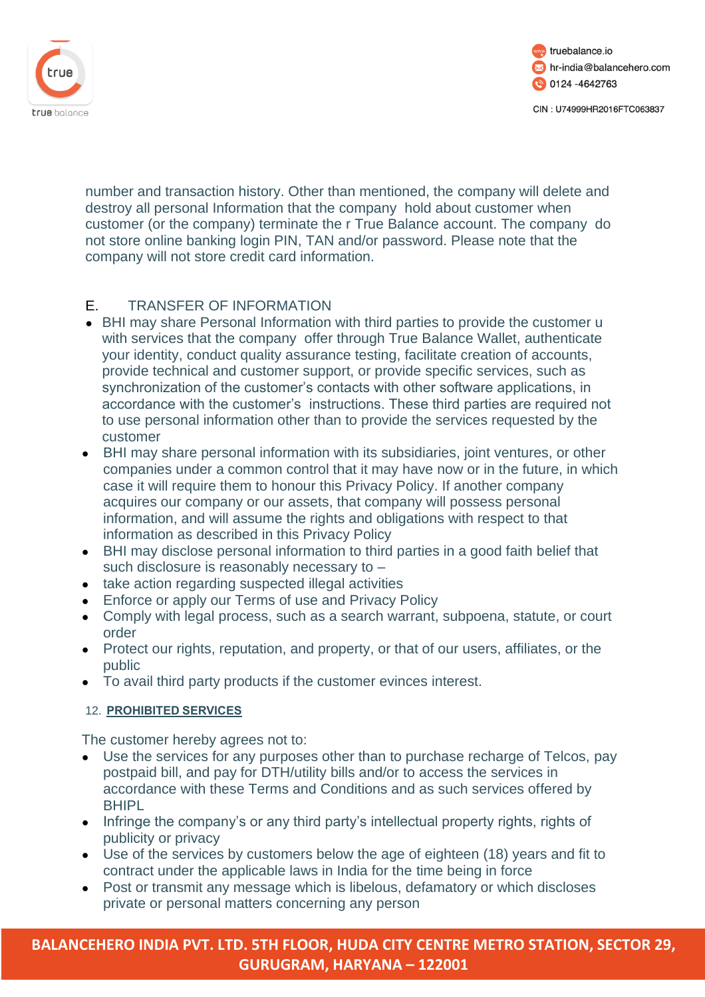



number and transaction history. Other than mentioned, the company will delete and destroy all personal Information that the company hold about customer when customer (or the company) terminate the r True Balance account. The company do not store online banking login PIN, TAN and/or password. Please note that the company will not store credit card information.

# E. TRANSFER OF INFORMATION

- BHI may share Personal Information with third parties to provide the customer u with services that the company offer through True Balance Wallet, authenticate your identity, conduct quality assurance testing, facilitate creation of accounts, provide technical and customer support, or provide specific services, such as synchronization of the customer's contacts with other software applications, in accordance with the customer's instructions. These third parties are required not to use personal information other than to provide the services requested by the customer
- BHI may share personal information with its subsidiaries, joint ventures, or other companies under a common control that it may have now or in the future, in which case it will require them to honour this Privacy Policy. If another company acquires our company or our assets, that company will possess personal information, and will assume the rights and obligations with respect to that information as described in this Privacy Policy
- BHI may disclose personal information to third parties in a good faith belief that such disclosure is reasonably necessary to –
- take action regarding suspected illegal activities
- Enforce or apply our Terms of use and Privacy Policy
- Comply with legal process, such as a search warrant, subpoena, statute, or court order
- Protect our rights, reputation, and property, or that of our users, affiliates, or the public
- To avail third party products if the customer evinces interest.

### 12. **PROHIBITED SERVICES**

The customer hereby agrees not to:

- Use the services for any purposes other than to purchase recharge of Telcos, pay postpaid bill, and pay for DTH/utility bills and/or to access the services in accordance with these Terms and Conditions and as such services offered by **BHIPL**
- Infringe the company's or any third party's intellectual property rights, rights of publicity or privacy
- Use of the services by customers below the age of eighteen (18) years and fit to contract under the applicable laws in India for the time being in force
- Post or transmit any message which is libelous, defamatory or which discloses private or personal matters concerning any person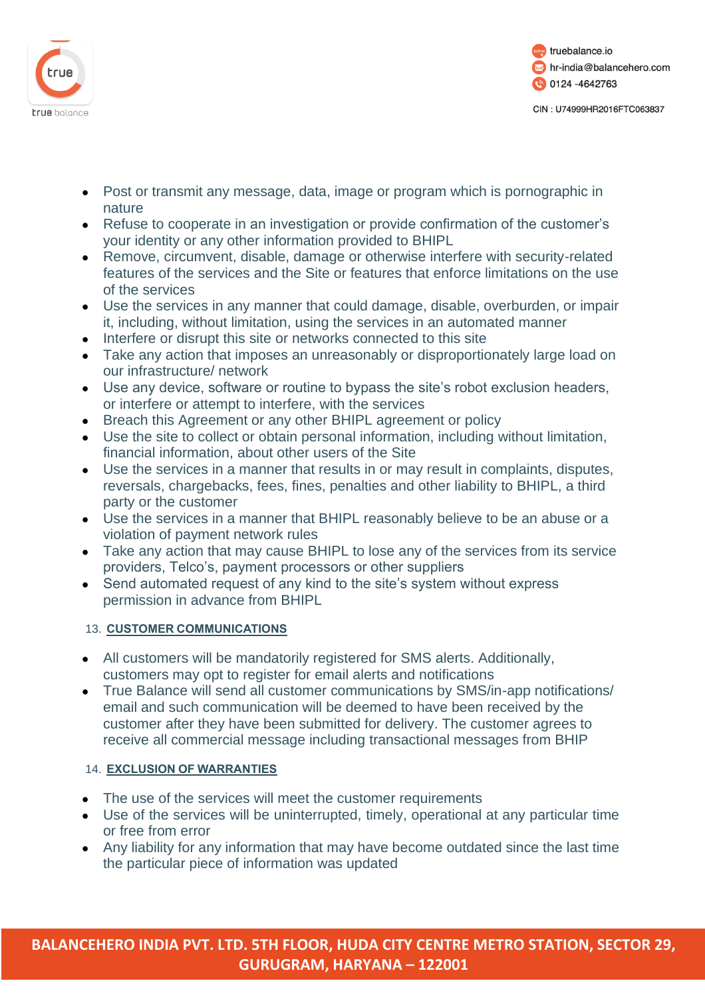



- Post or transmit any message, data, image or program which is pornographic in nature
- Refuse to cooperate in an investigation or provide confirmation of the customer's your identity or any other information provided to BHIPL
- Remove, circumvent, disable, damage or otherwise interfere with security-related features of the services and the Site or features that enforce limitations on the use of the services
- Use the services in any manner that could damage, disable, overburden, or impair it, including, without limitation, using the services in an automated manner
- Interfere or disrupt this site or networks connected to this site
- Take any action that imposes an unreasonably or disproportionately large load on our infrastructure/ network
- Use any device, software or routine to bypass the site's robot exclusion headers, or interfere or attempt to interfere, with the services
- Breach this Agreement or any other BHIPL agreement or policy
- Use the site to collect or obtain personal information, including without limitation, financial information, about other users of the Site
- Use the services in a manner that results in or may result in complaints, disputes, reversals, chargebacks, fees, fines, penalties and other liability to BHIPL, a third party or the customer
- Use the services in a manner that BHIPL reasonably believe to be an abuse or a violation of payment network rules
- Take any action that may cause BHIPL to lose any of the services from its service providers, Telco's, payment processors or other suppliers
- Send automated request of any kind to the site's system without express permission in advance from BHIPL

# 13. **CUSTOMER COMMUNICATIONS**

- All customers will be mandatorily registered for SMS alerts. Additionally, customers may opt to register for email alerts and notifications
- True Balance will send all customer communications by SMS/in-app notifications/ email and such communication will be deemed to have been received by the customer after they have been submitted for delivery. The customer agrees to receive all commercial message including transactional messages from BHIP

### 14. **EXCLUSION OF WARRANTIES**

- The use of the services will meet the customer requirements
- Use of the services will be uninterrupted, timely, operational at any particular time or free from error
- Any liability for any information that may have become outdated since the last time the particular piece of information was updated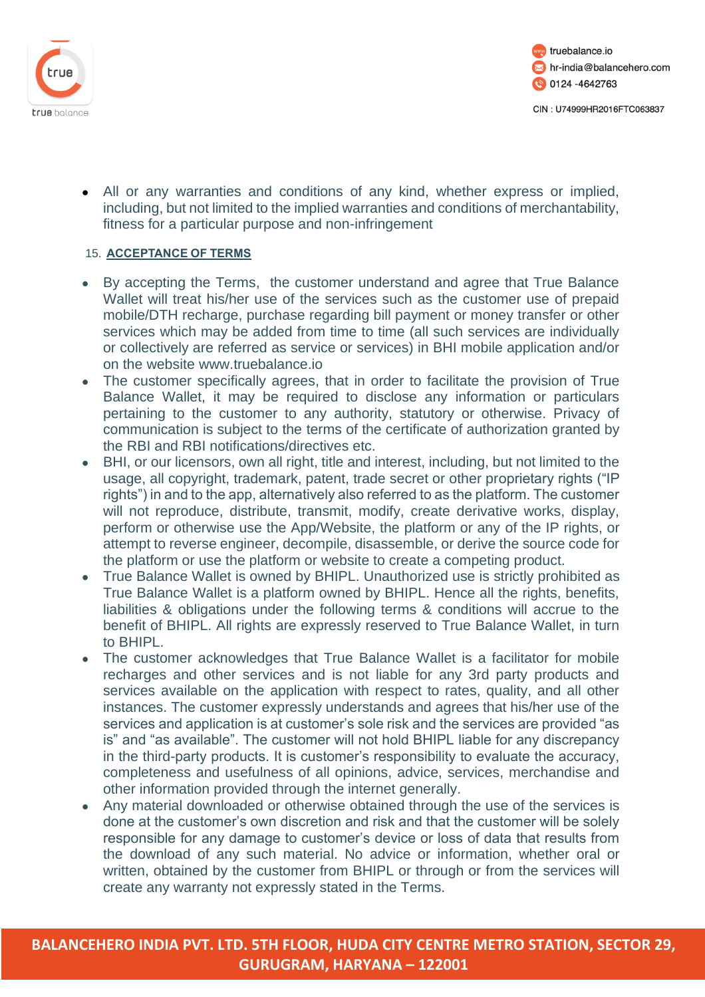



• All or any warranties and conditions of any kind, whether express or implied, including, but not limited to the implied warranties and conditions of merchantability, fitness for a particular purpose and non-infringement

#### 15. **ACCEPTANCE OF TERMS**

- By accepting the Terms, the customer understand and agree that True Balance Wallet will treat his/her use of the services such as the customer use of prepaid mobile/DTH recharge, purchase regarding bill payment or money transfer or other services which may be added from time to time (all such services are individually or collectively are referred as service or services) in BHI mobile application and/or on the website [www.truebalance.io](http://www.truebalance.io/)
- The customer specifically agrees, that in order to facilitate the provision of True Balance Wallet, it may be required to disclose any information or particulars pertaining to the customer to any authority, statutory or otherwise. Privacy of communication is subject to the terms of the certificate of authorization granted by the RBI and RBI notifications/directives etc.
- BHI, or our licensors, own all right, title and interest, including, but not limited to the usage, all copyright, trademark, patent, trade secret or other proprietary rights ("IP rights") in and to the app, alternatively also referred to as the platform. The customer will not reproduce, distribute, transmit, modify, create derivative works, display, perform or otherwise use the App/Website, the platform or any of the IP rights, or attempt to reverse engineer, decompile, disassemble, or derive the source code for the platform or use the platform or website to create a competing product.
- True Balance Wallet is owned by BHIPL. Unauthorized use is strictly prohibited as True Balance Wallet is a platform owned by BHIPL. Hence all the rights, benefits, liabilities & obligations under the following terms & conditions will accrue to the benefit of BHIPL. All rights are expressly reserved to True Balance Wallet, in turn to BHIPL.
- The customer acknowledges that True Balance Wallet is a facilitator for mobile recharges and other services and is not liable for any 3rd party products and services available on the application with respect to rates, quality, and all other instances. The customer expressly understands and agrees that his/her use of the services and application is at customer's sole risk and the services are provided "as is" and "as available". The customer will not hold BHIPL liable for any discrepancy in the third-party products. It is customer's responsibility to evaluate the accuracy, completeness and usefulness of all opinions, advice, services, merchandise and other information provided through the internet generally.
- Any material downloaded or otherwise obtained through the use of the services is done at the customer's own discretion and risk and that the customer will be solely responsible for any damage to customer's device or loss of data that results from the download of any such material. No advice or information, whether oral or written, obtained by the customer from BHIPL or through or from the services will create any warranty not expressly stated in the Terms.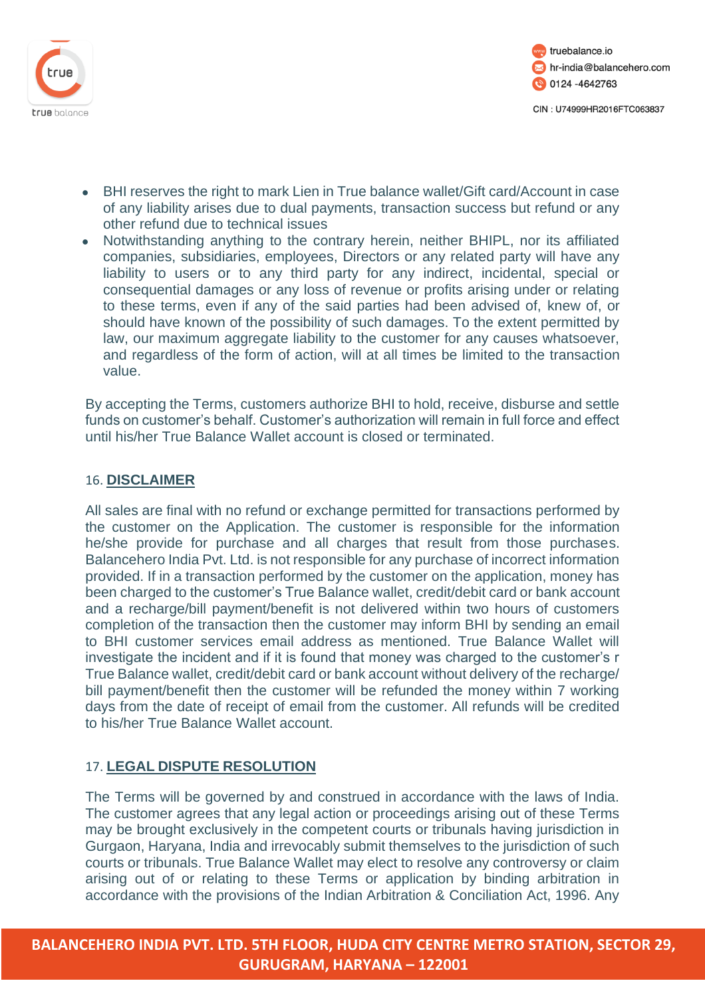



- BHI reserves the right to mark Lien in True balance wallet/Gift card/Account in case of any liability arises due to dual payments, transaction success but refund or any other refund due to technical issues
- Notwithstanding anything to the contrary herein, neither BHIPL, nor its affiliated companies, subsidiaries, employees, Directors or any related party will have any liability to users or to any third party for any indirect, incidental, special or consequential damages or any loss of revenue or profits arising under or relating to these terms, even if any of the said parties had been advised of, knew of, or should have known of the possibility of such damages. To the extent permitted by law, our maximum aggregate liability to the customer for any causes whatsoever, and regardless of the form of action, will at all times be limited to the transaction value.

By accepting the Terms, customers authorize BHI to hold, receive, disburse and settle funds on customer's behalf. Customer's authorization will remain in full force and effect until his/her True Balance Wallet account is closed or terminated.

### 16. **DISCLAIMER**

All sales are final with no refund or exchange permitted for transactions performed by the customer on the Application. The customer is responsible for the information he/she provide for purchase and all charges that result from those purchases. Balancehero India Pvt. Ltd. is not responsible for any purchase of incorrect information provided. If in a transaction performed by the customer on the application, money has been charged to the customer's True Balance wallet, credit/debit card or bank account and a recharge/bill payment/benefit is not delivered within two hours of customers completion of the transaction then the customer may inform BHI by sending an email to BHI customer services email address as mentioned. True Balance Wallet will investigate the incident and if it is found that money was charged to the customer's r True Balance wallet, credit/debit card or bank account without delivery of the recharge/ bill payment/benefit then the customer will be refunded the money within 7 working days from the date of receipt of email from the customer. All refunds will be credited to his/her True Balance Wallet account.

# 17. **LEGAL DISPUTE RESOLUTION**

The Terms will be governed by and construed in accordance with the laws of India. The customer agrees that any legal action or proceedings arising out of these Terms may be brought exclusively in the competent courts or tribunals having jurisdiction in Gurgaon, Haryana, India and irrevocably submit themselves to the jurisdiction of such courts or tribunals. True Balance Wallet may elect to resolve any controversy or claim arising out of or relating to these Terms or application by binding arbitration in accordance with the provisions of the Indian Arbitration & Conciliation Act, 1996. Any